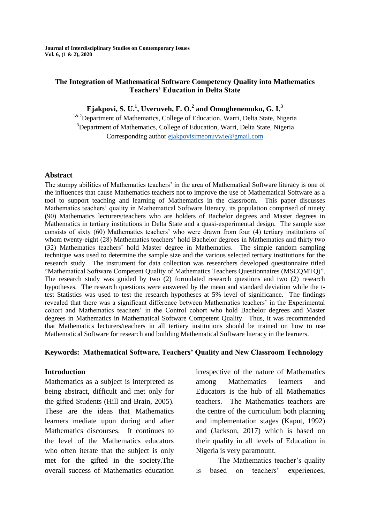**Journal of Interdisciplinary Studies on Contemporary Issues Vol. 6, (1 & 2), 2020**

### **The Integration of Mathematical Software Competency Quality into Mathematics Teachers' Education in Delta State**

**Ejakpovi, S. U.<sup>1</sup> , Uveruveh, F. O.<sup>2</sup> and Omoghenemuko, G. I.<sup>3</sup>**

<sup>1& 2</sup>Department of Mathematics, College of Education, Warri, Delta State, Nigeria <sup>3</sup>Department of Mathematics, College of Education, Warri, Delta State, Nigeria Corresponding author [ejakpovisimeonuvwie@gmail.com](mailto:ejakpovisimeonuvwie@gmail.com)

#### **Abstract**

The stumpy abilities of Mathematics teachers' in the area of Mathematical Software literacy is one of the influences that cause Mathematics teachers not to improve the use of Mathematical Software as a tool to support teaching and learning of Mathematics in the classroom. This paper discusses Mathematics teachers' quality in Mathematical Software literacy, its population comprised of ninety (90) Mathematics lecturers/teachers who are holders of Bachelor degrees and Master degrees in Mathematics in tertiary institutions in Delta State and a quasi-experimental design. The sample size consists of sixty (60) Mathematics teachers' who were drawn from four (4) tertiary institutions of whom twenty-eight (28) Mathematics teachers' hold Bachelor degrees in Mathematics and thirty two (32) Mathematics teachers' hold Master degree in Mathematics. The simple random sampling technique was used to determine the sample size and the various selected tertiary institutions for the research study. The instrument for data collection was researchers developed questionnaire titled "Mathematical Software Competent Quality of Mathematics Teachers Questionnaires (MSCQMTQ)". The research study was guided by two (2) formulated research questions and two (2) research hypotheses. The research questions were answered by the mean and standard deviation while the ttest Statistics was used to test the research hypotheses at 5% level of significance. The findings revealed that there was a significant difference between Mathematics teachers' in the Experimental cohort and Mathematics teachers' in the Control cohort who hold Bachelor degrees and Master degrees in Mathematics in Mathematical Software Competent Quality. Thus, it was recommended that Mathematics lecturers/teachers in all tertiary institutions should be trained on how to use Mathematical Software for research and building Mathematical Software literacy in the learners.

#### **Keywords: Mathematical Software, Teachers' Quality and New Classroom Technology**

### **Introduction**

Mathematics as a subject is interpreted as being abstract, difficult and met only for the gifted Students (Hill and Brain, 2005). These are the ideas that Mathematics learners mediate upon during and after Mathematics discourses. It continues to the level of the Mathematics educators who often iterate that the subject is only met for the gifted in the society.The overall success of Mathematics education irrespective of the nature of Mathematics among Mathematics learners and Educators is the hub of all Mathematics teachers. The Mathematics teachers are the centre of the curriculum both planning and implementation stages (Kaput, 1992) and (Jackson, 2017) which is based on their quality in all levels of Education in Nigeria is very paramount.

The Mathematics teacher's quality is based on teachers' experiences,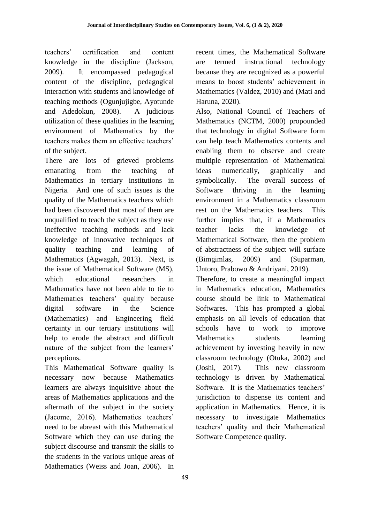teachers' certification and content knowledge in the discipline (Jackson, 2009). It encompassed pedagogical content of the discipline, pedagogical interaction with students and knowledge of teaching methods (Ogunjujigbe, Ayotunde and Adedokun, 2008). A judicious utilization of these qualities in the learning environment of Mathematics by the teachers makes them an effective teachers' of the subject.

There are lots of grieved problems emanating from the teaching of Mathematics in tertiary institutions in Nigeria. And one of such issues is the quality of the Mathematics teachers which had been discovered that most of them are unqualified to teach the subject as they use ineffective teaching methods and lack knowledge of innovative techniques of quality teaching and learning of Mathematics (Agwagah, 2013). Next, is the issue of Mathematical Software (MS), which educational researchers in Mathematics have not been able to tie to Mathematics teachers' quality because digital software in the Science (Mathematics) and Engineering field certainty in our tertiary institutions will help to erode the abstract and difficult nature of the subject from the learners' perceptions.

This Mathematical Software quality is necessary now because Mathematics learners are always inquisitive about the areas of Mathematics applications and the aftermath of the subject in the society (Jacome, 2016). Mathematics teachers' need to be abreast with this Mathematical Software which they can use during the subject discourse and transmit the skills to the students in the various unique areas of Mathematics (Weiss and Joan, 2006). In recent times, the Mathematical Software are termed instructional technology because they are recognized as a powerful means to boost students' achievement in Mathematics (Valdez, 2010) and (Mati and Haruna, 2020).

Also, National Council of Teachers of Mathematics (NCTM, 2000) propounded that technology in digital Software form can help teach Mathematics contents and enabling them to observe and create multiple representation of Mathematical ideas numerically, graphically and symbolically. The overall success of Software thriving in the learning environment in a Mathematics classroom rest on the Mathematics teachers. This further implies that, if a Mathematics teacher lacks the knowledge of Mathematical Software, then the problem of abstractness of the subject will surface (Bimgimlas, 2009) and (Suparman, Untoro, Prabowo & Andriyani, 2019).

Therefore, to create a meaningful impact in Mathematics education, Mathematics course should be link to Mathematical Softwares. This has prompted a global emphasis on all levels of education that schools have to work to improve Mathematics students learning achievement by investing heavily in new classroom technology (Otuka, 2002) and (Joshi, 2017). This new classroom technology is driven by Mathematical Software. It is the Mathematics teachers' jurisdiction to dispense its content and application in Mathematics. Hence, it is necessary to investigate Mathematics teachers' quality and their Mathematical Software Competence quality.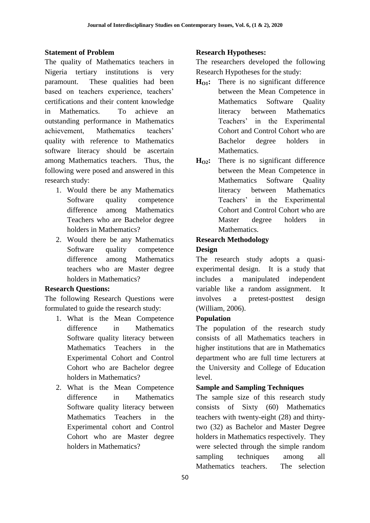### **Statement of Problem**

The quality of Mathematics teachers in Nigeria tertiary institutions is very paramount. These qualities had been based on teachers experience, teachers' certifications and their content knowledge in Mathematics. To achieve an outstanding performance in Mathematics achievement, Mathematics teachers' quality with reference to Mathematics software literacy should be ascertain among Mathematics teachers. Thus, the following were posed and answered in this research study:

- 1. Would there be any Mathematics Software quality competence difference among Mathematics Teachers who are Bachelor degree holders in Mathematics?
- 2. Would there be any Mathematics Software quality competence difference among Mathematics teachers who are Master degree holders in Mathematics?

### **Research Questions:**

The following Research Questions were formulated to guide the research study:

- 1. What is the Mean Competence difference in Mathematics Software quality literacy between Mathematics Teachers in the Experimental Cohort and Control Cohort who are Bachelor degree holders in Mathematics?
- 2. What is the Mean Competence difference in Mathematics Software quality literacy between Mathematics Teachers in the Experimental cohort and Control Cohort who are Master degree holders in Mathematics?

### **Research Hypotheses:**

The researchers developed the following Research Hypotheses for the study:

- **HO1:** There is no significant difference between the Mean Competence in Mathematics Software Quality literacy between Mathematics Teachers' in the Experimental Cohort and Control Cohort who are Bachelor degree holders in Mathematics.
- H<sub>o2</sub>: There is no significant difference between the Mean Competence in Mathematics Software Quality literacy between Mathematics Teachers' in the Experimental Cohort and Control Cohort who are Master degree holders in Mathematics.

# **Research Methodology**

### **Design**

The research study adopts a quasiexperimental design. It is a study that includes a manipulated independent variable like a random assignment. It involves a pretest-posttest design (William, 2006).

### **Population**

The population of the research study consists of all Mathematics teachers in higher institutions that are in Mathematics department who are full time lecturers at the University and College of Education level.

# **Sample and Sampling Techniques**

The sample size of this research study consists of Sixty (60) Mathematics teachers with twenty-eight (28) and thirtytwo (32) as Bachelor and Master Degree holders in Mathematics respectively. They were selected through the simple random sampling techniques among all Mathematics teachers. The selection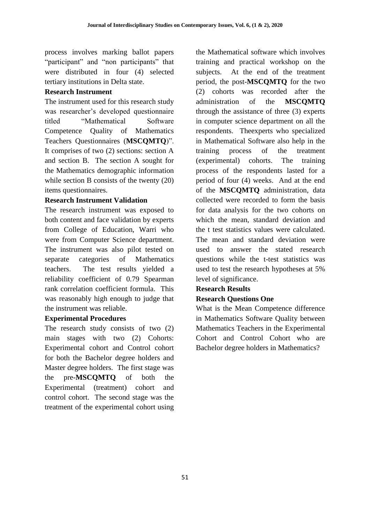process involves marking ballot papers "participant" and "non participants" that were distributed in four (4) selected tertiary institutions in Delta state.

# **Research Instrument**

The instrument used for this research study was researcher's developed questionnaire titled "Mathematical Software Competence Quality of Mathematics Teachers Questionnaires (**MSCQMTQ**)". It comprises of two (2) sections: section A and section B. The section A sought for the Mathematics demographic information while section B consists of the twenty  $(20)$ items questionnaires.

# **Research Instrument Validation**

The research instrument was exposed to both content and face validation by experts from College of Education, Warri who were from Computer Science department. The instrument was also pilot tested on separate categories of Mathematics teachers. The test results yielded a reliability coefficient of 0.79 Spearman rank correlation coefficient formula. This was reasonably high enough to judge that the instrument was reliable.

# **Experimental Procedures**

The research study consists of two (2) main stages with two (2) Cohorts: Experimental cohort and Control cohort for both the Bachelor degree holders and Master degree holders. The first stage was the pre-**MSCQMTQ** of both the Experimental (treatment) cohort and control cohort. The second stage was the treatment of the experimental cohort using the Mathematical software which involves training and practical workshop on the subjects. At the end of the treatment period, the post-**MSCQMTQ** for the two (2) cohorts was recorded after the administration of the **MSCQMTQ** through the assistance of three (3) experts in computer science department on all the respondents. Theexperts who specialized in Mathematical Software also help in the training process of the treatment (experimental) cohorts. The training process of the respondents lasted for a period of four (4) weeks. And at the end of the **MSCQMTQ** administration, data collected were recorded to form the basis for data analysis for the two cohorts on which the mean, standard deviation and the t test statistics values were calculated. The mean and standard deviation were used to answer the stated research questions while the t-test statistics was used to test the research hypotheses at 5% level of significance.

# **Research Results**

# **Research Questions One**

What is the Mean Competence difference in Mathematics Software Quality between Mathematics Teachers in the Experimental Cohort and Control Cohort who are Bachelor degree holders in Mathematics?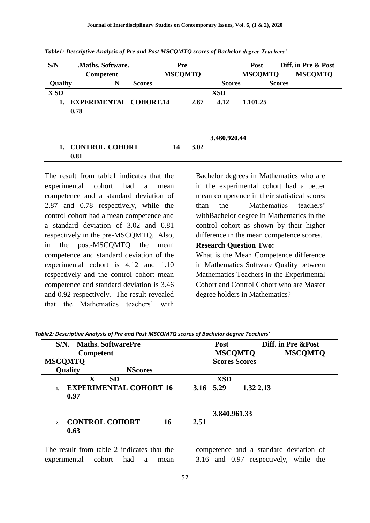| S/N         | Maths. Software.              |               | Pre            |      |               | <b>Post</b>    |               | Diff. in Pre & Post |
|-------------|-------------------------------|---------------|----------------|------|---------------|----------------|---------------|---------------------|
|             | Competent                     |               | <b>MSCQMTQ</b> |      |               | <b>MSCQMTQ</b> |               | <b>MSCQMTQ</b>      |
| Quality     | N                             | <b>Scores</b> |                |      | <b>Scores</b> |                | <b>Scores</b> |                     |
| <b>X SD</b> |                               |               |                |      | <b>XSD</b>    |                |               |                     |
|             | <b>EXPERIMENTAL COHORT.14</b> |               |                | 2.87 | 4.12          | 1.101.25       |               |                     |
|             | 0.78                          |               |                |      |               |                |               |                     |
|             |                               |               |                |      |               |                |               |                     |
|             |                               |               |                |      |               |                |               |                     |
|             |                               |               |                |      | 3.460.920.44  |                |               |                     |
|             | <b>CONTROL COHORT</b>         |               | 14             | 3.02 |               |                |               |                     |
|             | 0.81                          |               |                |      |               |                |               |                     |

*Table1: Descriptive Analysis of Pre and Post MSCQMTQ scores of Bachelor degree Teachers'*

The result from table1 indicates that the experimental cohort had a mean competence and a standard deviation of 2.87 and 0.78 respectively, while the control cohort had a mean competence and a standard deviation of 3.02 and 0.81 respectively in the pre-MSCQMTQ. Also, in the post-MSCQMTQ the mean competence and standard deviation of the experimental cohort is 4.12 and 1.10 respectively and the control cohort mean competence and standard deviation is 3.46 and 0.92 respectively. The result revealed that the Mathematics teachers' with

Bachelor degrees in Mathematics who are in the experimental cohort had a better mean competence in their statistical scores than the Mathematics teachers' withBachelor degree in Mathematics in the control cohort as shown by their higher difference in the mean competence scores.

#### **Research Question Two:**

What is the Mean Competence difference in Mathematics Software Quality between Mathematics Teachers in the Experimental Cohort and Control Cohort who are Master degree holders in Mathematics?

|             | S/N. Maths. SoftwarePre          |    |                | <b>Post</b>  |                      | Diff. in Pre & Post |
|-------------|----------------------------------|----|----------------|--------------|----------------------|---------------------|
|             | Competent                        |    | <b>MSCOMTO</b> |              |                      | <b>MSCOMTO</b>      |
|             | <b>MSCOMTO</b>                   |    |                |              | <b>Scores Scores</b> |                     |
|             | <b>Quality</b><br><b>NScores</b> |    |                |              |                      |                     |
|             | $\mathbf X$<br><b>SD</b>         |    |                | <b>XSD</b>   |                      |                     |
|             | <b>EXPERIMENTAL COHORT 16</b>    |    |                | 3.16 5.29    | 1.32 2.13            |                     |
|             | 0.97                             |    |                |              |                      |                     |
|             |                                  |    |                | 3.840.961.33 |                      |                     |
| $2^{\circ}$ | <b>CONTROL COHORT</b>            | 16 | 2.51           |              |                      |                     |
|             | 0.63                             |    |                |              |                      |                     |

*Table2: Descriptive Analysis of Pre and Post MSCQMTQ scores of Bachelor degree Teachers'*

The result from table 2 indicates that the experimental cohort had a mean competence and a standard deviation of 3.16 and 0.97 respectively, while the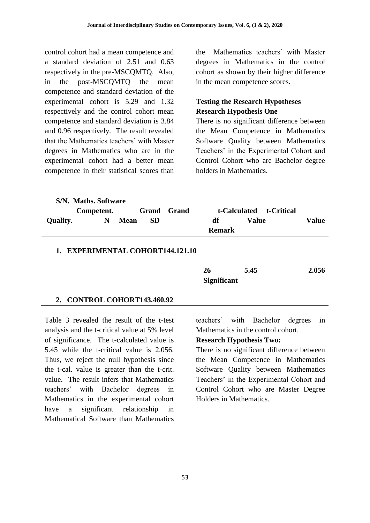control cohort had a mean competence and a standard deviation of 2.51 and 0.63 respectively in the pre-MSCQMTQ. Also, in the post-MSCQMTQ the mean competence and standard deviation of the experimental cohort is 5.29 and 1.32 respectively and the control cohort mean competence and standard deviation is 3.84 and 0.96 respectively. The result revealed that the Mathematics teachers' with Master degrees in Mathematics who are in the experimental cohort had a better mean competence in their statistical scores than the Mathematics teachers' with Master degrees in Mathematics in the control cohort as shown by their higher difference in the mean competence scores.

# **Testing the Research Hypotheses Research Hypothesis One**

There is no significant difference between the Mean Competence in Mathematics Software Quality between Mathematics Teachers' in the Experimental Cohort and Control Cohort who are Bachelor degree holders in Mathematics.

| S/N. Maths. Software |            |             |                    |  |               |       |                         |       |
|----------------------|------------|-------------|--------------------|--|---------------|-------|-------------------------|-------|
|                      | Competent. |             | <b>Grand</b> Grand |  |               |       | t-Calculated t-Critical |       |
| Quality.             | N          | <b>Mean</b> | <b>SD</b>          |  | df            | Value |                         | Value |
|                      |            |             |                    |  | <b>Remark</b> |       |                         |       |
|                      |            |             |                    |  |               |       |                         |       |

#### **1. EXPERIMENTAL COHORT144.121.10**

| 26                 | 5.45 | 2.056 |
|--------------------|------|-------|
| <b>Significant</b> |      |       |

#### **2. CONTROL COHORT143.460.92**

Table 3 revealed the result of the t-test analysis and the t-critical value at 5% level of significance. The t-calculated value is 5.45 while the t-critical value is 2.056. Thus, we reject the null hypothesis since the t-cal. value is greater than the t-crit. value. The result infers that Mathematics teachers' with Bachelor degrees in Mathematics in the experimental cohort have a significant relationship in Mathematical Software than Mathematics

teachers' with Bachelor degrees in Mathematics in the control cohort.

#### **Research Hypothesis Two:**

There is no significant difference between the Mean Competence in Mathematics Software Quality between Mathematics Teachers' in the Experimental Cohort and Control Cohort who are Master Degree Holders in Mathematics.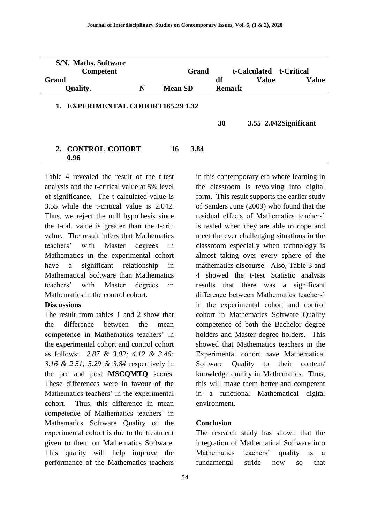| S/N. Maths. Software<br><b>Competent</b>                  |   | Grand          | t-Calculated t-Critical |               |              |                        |  |
|-----------------------------------------------------------|---|----------------|-------------------------|---------------|--------------|------------------------|--|
| <b>Grand</b>                                              |   |                |                         | df            | <b>Value</b> | <b>Value</b>           |  |
| <b>Quality.</b>                                           | N | <b>Mean SD</b> |                         | <b>Remark</b> |              |                        |  |
| <b>EXPERIMENTAL COHORT165.29 1.32</b><br>$\mathbf{1}_{-}$ |   |                |                         | 30            |              | 3.55 2.042 Significant |  |
| 2. CONTROL COHORT<br>0.96                                 |   | 16             | 3.84                    |               |              |                        |  |

Table 4 revealed the result of the t-test analysis and the t-critical value at 5% level of significance. The t-calculated value is 3.55 while the t-critical value is 2.042. Thus, we reject the null hypothesis since the t-cal. value is greater than the t-crit. value. The result infers that Mathematics teachers' with Master degrees in Mathematics in the experimental cohort have a significant relationship in Mathematical Software than Mathematics teachers' with Master degrees in Mathematics in the control cohort.

### **Discussions**

The result from tables 1 and 2 show that the difference between the mean competence in Mathematics teachers' in the experimental cohort and control cohort as follows: *2.87 & 3.02; 4.12 & 3.46: 3.16 & 2.51; 5.29 & 3.84* respectively in the pre and post **MSCQMTQ** scores. These differences were in favour of the Mathematics teachers' in the experimental cohort. Thus, this difference in mean competence of Mathematics teachers' in Mathematics Software Quality of the experimental cohort is due to the treatment given to them on Mathematics Software. This quality will help improve the performance of the Mathematics teachers

in this contemporary era where learning in the classroom is revolving into digital form. This result supports the earlier study of Sanders June (2009) who found that the residual effects of Mathematics teachers' is tested when they are able to cope and meet the ever challenging situations in the classroom especially when technology is almost taking over every sphere of the mathematics discourse. Also, Table 3 and 4 showed the t-test Statistic analysis results that there was a significant difference between Mathematics teachers' in the experimental cohort and control cohort in Mathematics Software Quality competence of both the Bachelor degree holders and Master degree holders. This showed that Mathematics teachers in the Experimental cohort have Mathematical Software Quality to their content/ knowledge quality in Mathematics. Thus, this will make them better and competent in a functional Mathematical digital environment.

#### **Conclusion**

The research study has shown that the integration of Mathematical Software into Mathematics teachers' quality is a fundamental stride now so that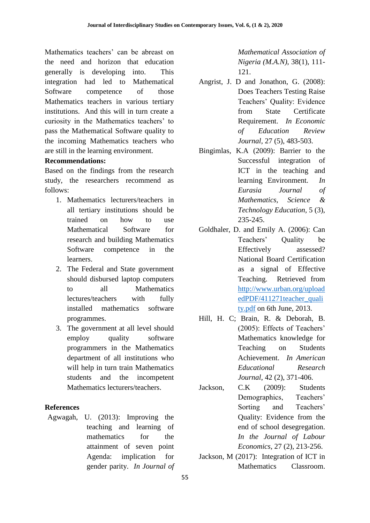Mathematics teachers' can be abreast on the need and horizon that education generally is developing into. This integration had led to Mathematical Software competence of those Mathematics teachers in various tertiary institutions. And this will in turn create a curiosity in the Mathematics teachers' to pass the Mathematical Software quality to the incoming Mathematics teachers who are still in the learning environment.

### **Recommendations:**

Based on the findings from the research study, the researchers recommend as follows:

- 1. Mathematics lecturers/teachers in all tertiary institutions should be trained on how to use Mathematical Software for research and building Mathematics Software competence in the learners.
- 2. The Federal and State government should disbursed laptop computers to all Mathematics lectures/teachers with fully installed mathematics software programmes.
- 3. The government at all level should employ quality software programmers in the Mathematics department of all institutions who will help in turn train Mathematics students and the incompetent Mathematics lecturers/teachers.

# **References**

Agwagah, U. (2013): Improving the teaching and learning of mathematics for the attainment of seven point Agenda: implication for gender parity. *In Journal of*  *Mathematical Association of Nigeria (M.A.N)*, 38(1), 111- 121.

- Angrist, J. D and Jonathon, G. (2008): Does Teachers Testing Raise Teachers' Quality: Evidence from State Certificate Requirement. *In Economic of Education Review Journal,* 27 (5), 483-503.
- Bingimlas, K.A (2009): Barrier to the Successful integration of ICT in the teaching and learning Environment. *In Eurasia Journal of Mathematics, Science & Technology Education,* 5 (3), 235-245.
- Goldhaler, D. and Emily A. (2006): Can Teachers' Quality be Effectively assessed? National Board Certification as a signal of Effective Teaching. Retrieved from [http://www.urban.org/upload](http://www.urban.org/uploadedPDF/411271teacher_quality.pdf) [edPDF/411271teacher\\_quali](http://www.urban.org/uploadedPDF/411271teacher_quality.pdf) [ty.pdf](http://www.urban.org/uploadedPDF/411271teacher_quality.pdf) on 6th June, 2013.
- Hill, H. C; Brain, R. & Deborah, B. (2005): Effects of Teachers' Mathematics knowledge for Teaching on Students Achievement. *In American Educational Research Journal*, 42 (2), 371-406.
- Jackson, C.K (2009): Students Demographics, Teachers' Sorting and Teachers' Quality: Evidence from the end of school desegregation. *In the Journal of Labour Economics*, 27 (2), 213-256.
- Jackson, M (2017): Integration of ICT in Mathematics Classroom.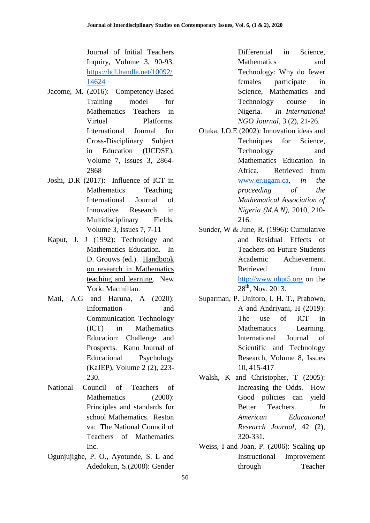Journal of Initial Teachers Inquiry, Volume 3, 90-93. [https://hdl.handle.net/10092/](https://hdl.handle.net/10092/14624) [14624](https://hdl.handle.net/10092/14624)

- Jacome, M. (2016): Competency-Based Training model for Mathematics Teachers in Virtual Platforms. International Journal for Cross-Disciplinary Subject in Education (IJCDSE), Volume 7, Issues 3, 2864- 2868
- Joshi, D.R (2017): Influence of ICT in Mathematics Teaching. International Journal of Innovative Research in Multidisciplinary Fields, Volume 3, Issues 7, 7-11
- Kaput, J. J (1992): Technology and Mathematics Education. In D. Grouws (ed.). Handbook on research in Mathematics teaching and learning. New York: Macmillan.
- Mati, A.G and Haruna, A (2020): Information and Communication Technology (ICT) in Mathematics Education: Challenge and Prospects. Kano Journal of Educational Psychology (KaJEP), Volume 2 (2), 223- 230.
- National Council of Teachers of Mathematics (2000): Principles and standards for school Mathematics. Reston va: The National Council of Teachers of Mathematics Inc.
- Ogunjujigbe, P. O., Ayotunde, S. L and Adedokun, S.(2008): Gender

Differential in Science Mathematics and Technology: Why do fewer females participate in Science, Mathematics and Technology course in Nigeria. *In International NGO Journal*, 3 (2), 21-26.

- Otuka, J.O.E (2002): Innovation ideas and Techniques for Science, Technology and Mathematics Education in Africa. Retrieved from [www.er.ugam.ca](http://www.er.ugam.ca/)*, in the proceeding of the Mathematical Association of Nigeria (M.A.N),* 2010, 210- 216.
- Sunder, W & June, R. (1996): Cumulative and Residual Effects of Teachers on Future Students Academic Achievement. Retrieved from [http://www.nbpt5.org](http://www.nbpt5.org/) on the  $28^{th}$ , Nov. 2013.
- Suparman, P. Unitoro, I. H. T., Prabowo, A and Andriyani, H (2019): The use of ICT in Mathematics Learning. International Journal of Scientific and Technology Research, Volume 8, Issues 10, 415-417
- Walsh, K and Christopher, T (2005): Increasing the Odds. How Good policies can yield Better Teachers. *In American Educational Research Journal*, 42 (2), 320-331.
- Weiss, I and Joan, P. (2006): Scaling up Instructional Improvement through Teacher